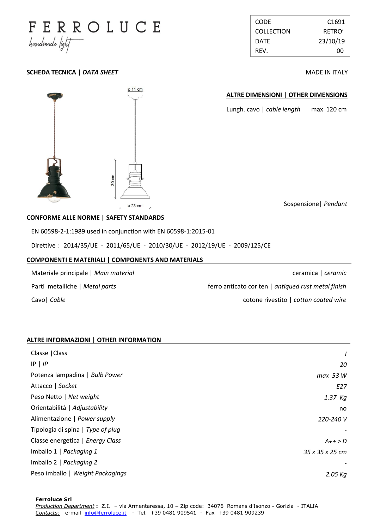

| <b>CODE</b>       | C <sub>1691</sub> |
|-------------------|-------------------|
| <b>COLLECTION</b> | RFTRO'            |
| <b>DATF</b>       | 23/10/19          |
| RFV.              | ററ                |

## **SCHEDA TECNICA |** *DATA SHEET* **MADE IN ITALY**



### **COMPONENTI E MATERIALI | COMPONENTS AND MATERIALS .**

| Materiale principale   Main material | ceramica   ceramic                                  |
|--------------------------------------|-----------------------------------------------------|
| Parti metalliche   Metal parts       | ferro anticato cor ten   antiqued rust metal finish |
| Cavo   Cable                         | cotone rivestito   cotton coated wire               |

### **ALTRE INFORMAZIONI | OTHER INFORMATION .**

| Classe   Class                    |                 |
|-----------------------------------|-----------------|
| $IP$   $IP$                       | 20              |
| Potenza lampadina   Bulb Power    | max 53 W        |
| Attacco   Socket                  | E27             |
| Peso Netto   Net weight           | $1.37$ Kg       |
| Orientabilità   Adjustability     | no.             |
| Alimentazione   Power supply      | 220-240 V       |
| Tipologia di spina   Type of plug |                 |
| Classe energetica   Energy Class  | $A++>D$         |
| Imballo 1   Packaging 1           | 35 x 35 x 25 cm |
| Imballo 2   Packaging 2           |                 |
| Peso imballo   Weight Packagings  | $2.05$ Kg       |